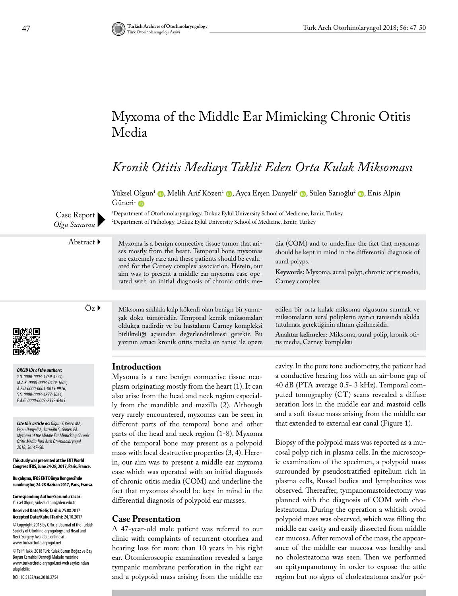# Myxoma of the Middle Ear Mimicking Chronic Otitis Media

## *Kronik Otitis Mediayı Taklit Eden Orta Kulak Miksoması*

Yüksel Olgun<sup>1</sup> (D[,](https://orcid.org/0000-0003-0429-1602) Melih Arif Közen<sup>1</sup> (D[,](https://orcid.org/0000-0003-4877-3064) Ayça Erşen Danyeli<sup>2</sup> (D, Sülen Sarıoğlu<sup>2</sup> (D, Enis Alpin  $Güneri<sup>1</sup>$  iD

1 Department of Otorhinolaryngology, Dokuz Eylül University School of Medicine, İzmir, Turkey 2 Department of Pathology, Dokuz Eylül University School of Medicine, İzmir, Turkey

Abstract  $\blacktriangleright$  Myxoma is a benign connective tissue tumor that arises mostly from the heart. Temporal bone myxomas are extremely rare and these patients should be evaluated for the Carney complex association. Herein, our aim was to present a middle ear myxoma case operated with an initial diagnosis of chronic otitis me-

> şak doku tümörüdür. Temporal kemik miksomaları oldukça nadirdir ve bu hastaların Carney kompleksi birlikteliği açısından değerlendirilmesi gerekir. Bu yazının amacı kronik otitis media ön tanısı ile opere

dia (COM) and to underline the fact that myxomas should be kept in mind in the differential diagnosis of aural polyps.

**Keywords:** Myxoma, aural polyp, chronic otitis media, Carney complex

edilen bir orta kulak miksoma olgusunu sunmak ve miksomaların aural poliplerin ayırıcı tanısında akılda

**Anahtar kelimeler:** Miksoma, aural polip, kronik oti-

tutulması gerektiğinin altının çizilmesidir.

tis media, Carney kompleksi

 $Öz$  Miksoma sıklıkla kalp kökenli olan benign bir yumu-

*ORCID IDs of the authors: Y.O. 0000-0003-1769-4224; M.A.K. 0000-0003-0429-1602; A.E.D. 0000-0001-8015-9916; S.S. 0000-0003-4877-3064; E.A.G. 0000-0003-2592-0463.*

*Cite this article as: Olgun Y, Közen MA, Erşen Danyeli A, Sarıoğlu S, Güneri EA. Myxoma of the Middle Ear Mimicking Chronic Otitis Media Turk Arch Otorhinolaryngol 2018; 56: 47-50.*

**This study was presented at the ENT World Congress IFOS, June 24-28, 2017, Paris, France.**

**Bu çalışma, IFOS ENT Dünya Kongresi'nde sunulmuştur, 24-28 Haziran 2017, Paris, Fransa.**

**Corresponding Author/Sorumlu Yazar:**  Yüksel Olgun; yuksel.olgun@deu.edu.tr

**Received Date/Geliş Tarihi:** 25.08.2017 **Accepted Date/Kabul Tarihi:** 24.10.2017

© Copyright 2018 by Official Journal of the Turkish Society of Otorhinolaryngology and Head and Neck Surgery Available online at www.turkarchotolaryngol.net

© Telif Hakkı 2018 Türk Kulak Burun Boğaz ve Baş Boyun Cerrahisi Derneği Makale metnine www.turkarchotolaryngol.net web sayfasından ulaşılabilir.

DOI: 10.5152/tao.2018.2754

### **Introduction**

Myxoma is a rare benign connective tissue neoplasm originating mostly from the heart (1). It can also arise from the head and neck region especially from the mandible and maxilla (2). Although very rarely encountered, myxomas can be seen in different parts of the temporal bone and other parts of the head and neck region (1-8). Myxoma of the temporal bone may present as a polypoid mass with local destructive properties (3, 4). Herein, our aim was to present a middle ear myxoma case which was operated with an initial diagnosis of chronic otitis media (COM) and underline the fact that myxomas should be kept in mind in the differential diagnosis of polypoid ear masses.

### **Case Presentation**

A 47-year-old male patient was referred to our clinic with complaints of recurrent otorrhea and hearing loss for more than 10 years in his right ear. Otomicroscopic examination revealed a large tympanic membrane perforation in the right ear and a polypoid mass arising from the middle ear

cavity. In the pure tone audiometry, the patient had a conductive hearing loss with an air-bone gap of 40 dB (PTA average 0.5- 3 kHz). Temporal computed tomography (CT) scans revealed a diffuse aeration loss in the middle ear and mastoid cells and a soft tissue mass arising from the middle ear that extended to external ear canal (Figure 1).

Biopsy of the polypoid mass was reported as a mucosal polyp rich in plasma cells. In the microscopic examination of the specimen, a polypoid mass surrounded by pseudostratified epitelium rich in plasma cells, Russel bodies and lymphocites was observed. Thereafter, tympanomastoidectomy was planned with the diagnosis of COM with cholesteatoma. During the operation a whitish ovoid polypoid mass was observed, which was filling the middle ear cavity and easily dissected from middle ear mucosa. After removal of the mass, the appearance of the middle ear mucosa was healthy and no cholesteatoma was seen. Then we performed an epitympanotomy in order to expose the attic region but no signs of cholesteatoma and/or pol-

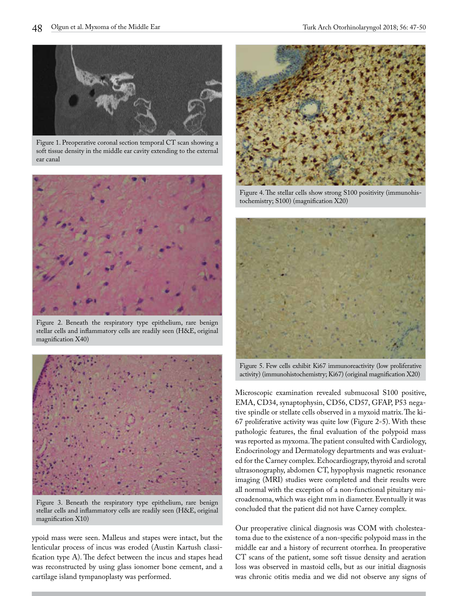

Figure 1. Preoperative coronal section temporal CT scan showing a soft tissue density in the middle ear cavity extending to the external ear canal



Figure 2. Beneath the respiratory type epithelium, rare benign stellar cells and inflammatory cells are readily seen (H&E, original magnification X40)



Figure 3. Beneath the respiratory type epithelium, rare benign stellar cells and inflammatory cells are readily seen (H&E, original magnification X10)

ypoid mass were seen. Malleus and stapes were intact, but the lenticular process of incus was eroded (Austin Kartush classification type A). The defect between the incus and stapes head was reconstructed by using glass ionomer bone cement, and a cartilage island tympanoplasty was performed.



Figure 4. The stellar cells show strong S100 positivity (immunohistochemistry; S100) (magnification X20)



Figure 5. Few cells exhibit Ki67 immunoreactivity (low proliferative activity) (immunohistochemistry; Ki67) (original magnification X20)

Microscopic examination revealed submucosal S100 positive, EMA, CD34, synaptophysin, CD56, CD57, GFAP, P53 negative spindle or stellate cells observed in a myxoid matrix. The ki-67 proliferative activity was quite low (Figure 2-5). With these pathologic features, the final evaluation of the polypoid mass was reported as myxoma. The patient consulted with Cardiology, Endocrinology and Dermatology departments and was evaluated for the Carney complex. Echocardiograpy, thyroid and scrotal ultrasonography, abdomen CT, hypophysis magnetic resonance imaging (MRI) studies were completed and their results were all normal with the exception of a non-functional pituitary microadenoma, which was eight mm in diameter. Eventually it was concluded that the patient did not have Carney complex.

Our preoperative clinical diagnosis was COM with cholesteatoma due to the existence of a non-specific polypoid mass in the middle ear and a history of recurrent otorrhea. In preoperative CT scans of the patient, some soft tissue density and aeration loss was observed in mastoid cells, but as our initial diagnosis was chronic otitis media and we did not observe any signs of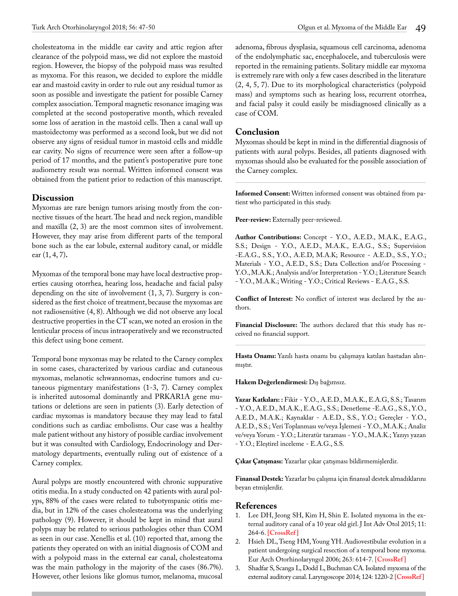cholesteatoma in the middle ear cavity and attic region after clearance of the polypoid mass, we did not explore the mastoid region. However, the biopsy of the polypoid mass was resulted as myxoma. For this reason, we decided to explore the middle ear and mastoid cavity in order to rule out any residual tumor as soon as possible and investigate the patient for possible Carney complex association. Temporal magnetic resonance imaging was completed at the second postoperative month, which revealed some loss of aeration in the mastoid cells. Then a canal wall up mastoidectomy was performed as a second look, but we did not observe any signs of residual tumor in mastoid cells and middle ear cavity. No signs of recurrence were seen after a follow-up period of 17 months, and the patient's postoperative pure tone audiometry result was normal. Written informed consent was obtained from the patient prior to redaction of this manuscript.

### **Discussion**

Myxomas are rare benign tumors arising mostly from the connective tissues of the heart. The head and neck region, mandible and maxilla (2, 3) are the most common sites of involvement. However, they may arise from different parts of the temporal bone such as the ear lobule, external auditory canal, or middle ear (1, 4, 7)**.**

Myxomas of the temporal bone may have local destructive properties causing otorrhea, hearing loss, headache and facial palsy depending on the site of involvement (1, 3, 7). Surgery is considered as the first choice of treatment, because the myxomas are not radiosensitive (4, 8). Although we did not observe any local destructive properties in the CT scan, we noted an erosion in the lenticular process of incus intraoperatively and we reconstructed this defect using bone cement.

Temporal bone myxomas may be related to the Carney complex in some cases, characterized by various cardiac and cutaneous myxomas, melanotic schwannomas, endocrine tumors and cutaneous pigmentary manifestations (1-3, 7). Carney complex is inherited autosomal dominantly and PRKAR1A gene mutations or deletions are seen in patients (3). Early detection of cardiac myxomas is mandatory because they may lead to fatal conditions such as cardiac embolisms. Our case was a healthy male patient without any history of possible cardiac involvement but it was consulted with Cardiology, Endocrinology and Dermatology departments, eventually ruling out of existence of a Carney complex.

Aural polyps are mostly encountered with chronic suppurative otitis media. In a study conducted on 42 patients with aural polyps, 88% of the cases were related to tubotympanic otitis media, but in 12% of the cases cholesteatoma was the underlying pathology (9). However, it should be kept in mind that aural polyps may be related to serious pathologies other than COM as seen in our case. Xenellis et al. (10) reported that, among the patients they operated on with an initial diagnosis of COM and with a polypoid mass in the external ear canal, cholesteatoma was the main pathology in the majority of the cases (86.7%). However, other lesions like glomus tumor, melanoma, mucosal

adenoma, fibrous dysplasia, squamous cell carcinoma, adenoma of the endolymphatic sac, encephalocele, and tuberculosis were reported in the remaining patients. Solitary middle ear myxoma is extremely rare with only a few cases described in the literature (2, 4, 5, 7). Due to its morphological characteristics (polypoid mass) and symptoms such as hearing loss, recurrent otorrhea, and facial palsy it could easily be misdiagnosed clinically as a case of COM.

#### **Conclusion**

Myxomas should be kept in mind in the differential diagnosis of patients with aural polyps. Besides, all patients diagnosed with myxomas should also be evaluated for the possible association of the Carney complex.

**Informed Consent:** Written informed consent was obtained from patient who participated in this study.

Peer-review: Externally peer-reviewed.

**Author Contributions:** Concept - Y.O., A.E.D., M.A.K., E.A.G., S.S.; Design - Y.O., A.E.D., M.A.K., E.A.G., S.S.; Supervision -E.A.G., S.S., Y.O., A.E.D, M.A.K; Resource - A.E.D., S.S., Y.O.; Materials - Y.O., A.E.D., S.S.; Data Collection and/or Processing - Y.O., M.A.K.; Analysis and/or Interpretation - Y.O.; Literature Search - Y.O., M.A.K.; Writing - Y.O.; Critical Reviews - E.A.G., S.S.

**Conflict of Interest:** No conflict of interest was declared by the authors.

**Financial Disclosure:** The authors declared that this study has received no financial support.

**Hasta Onamı:** Yazılı hasta onamı bu çalışmaya katılan hastadan alınmıştır.

**Hakem Değerlendirmesi:** Dış bağımsız.

**Yazar Katkıları: :** Fikir - Y.O., A.E.D., M.A.K., E.A.G, S.S.; Tasarım - Y.O., A.E.D., M.A.K., E.A.G., S.S.; Denetleme -E.A.G., S.S., Y.O., A.E.D., M.A.K.; Kaynaklar - A.E.D., S.S., Y.O.; Gereçler - Y.O., A.E.D., S.S.; Veri Toplanması ve/veya İşlemesi - Y.O., M.A.K.; Analiz ve/veya Yorum - Y.O.; Literatür taraması - Y.O., M.A.K.; Yazıyı yazan - Y.O.; Eleştirel inceleme - E.A.G., S.S.

**Çıkar Çatışması:** Yazarlar çıkar çatışması bildirmemişlerdir.

**Finansal Destek:** Yazarlar bu çalışma için finansal destek almadıklarını beyan etmişlerdir.

#### **References**

- 1. Lee DH, Jeong SH, Kim H, Shin E. Isolated myxoma in the external auditory canal of a 10 year old girl. J Int Adv Otol 2015; 11: 264-6. **[\[CrossRef \]](https://doi.org/10.5152/iao.2015.1555)**
- 2. Hsieh DL, Tseng HM, Young YH. Audiovestibular evolution in a patient undergoing surgical resection of a temporal bone myxoma. Eur Arch Otorhinolaryngol 2006; 263: 614-7. **[\[CrossRef \]](https://doi.org/10.1007/s00405-006-0039-5)**
- 3. Shadfar S, Scanga L, Dodd L, Buchman CA. Isolated myxoma of the external auditory canal. Laryngoscope 2014; 124: 1220-2 **[\[CrossRef\]](https://doi.org/10.1002/lary.24392)**